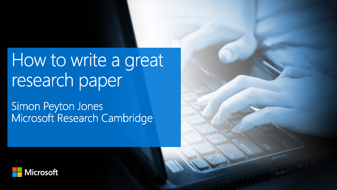How to write a great research paper

Simon Peyton Jones<br>Microsoft Research Cambridge

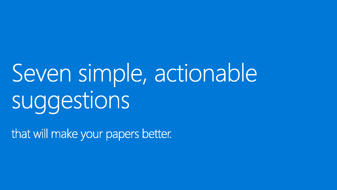# Seven simple, actionable suggestions

that will make your papers better.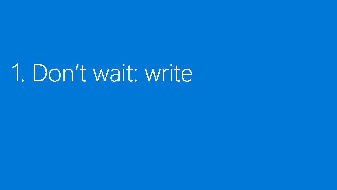## 1. Don't wait: write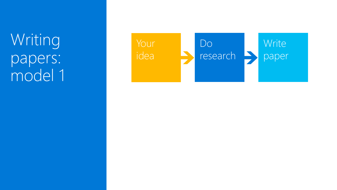## Writing papers: model 1

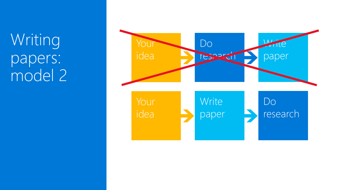## Writing papers: model 2

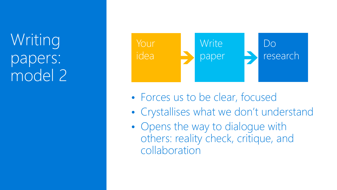### Writing papers: model 2



- Forces us to be clear, focused
- Crystallises what we don't understand
- Opens the way to dialogue with others: reality check, critique, and collaboration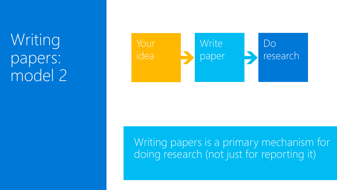## Writing papers: model 2



#### Writing papers is a primary mechanism for doing research (not just for reporting it)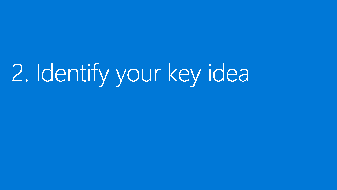# 2. Identify your key idea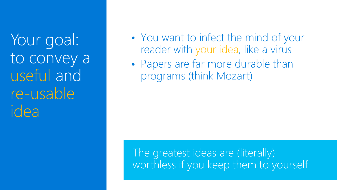Your goal: to convey a useful and re-usable idea

- You want to infect the mind of your reader with your idea, like a virus
- Papers are far more durable than programs (think Mozart)

The greatest ideas are (literally) worthless if you keep them to yourself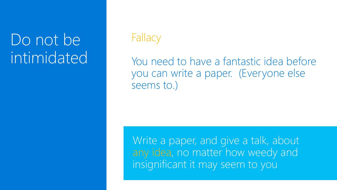#### Do not be intimidated

#### **Fallacy**

You need to have a fantastic idea before you can write a paper. (Everyone else seems to.)

Write a paper, and give a talk, about any idea, no matter how weedy and insignificant it may seem to you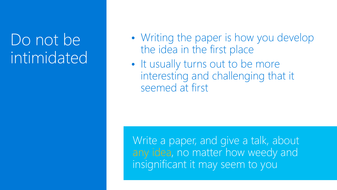### Do not be intimidated

- Writing the paper is how you develop the idea in the first place
- It usually turns out to be more interesting and challenging that it seemed at first

Write a paper, and give a talk, about any idea, no matter how weedy and insignificant it may seem to you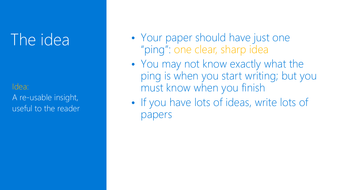### The idea

#### Idea: A re-usable insight, useful to the reader

- Your paper should have just one "ping": one clear, sharp idea
- You may not know exactly what the ping is when you start writing; but you must know when you finish
- If you have lots of ideas, write lots of papers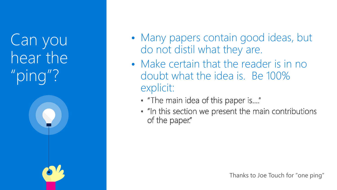## Can you hear the "ping"?



- Many papers contain good ideas, but do not distil what they are.
- Make certain that the reader is in no doubt what the idea is. Be 100% explicit:
	- "The main idea of this paper is...."
	- . "In this section we present the main contributions of the paper."

Thanks to Joe Touch for "one ping"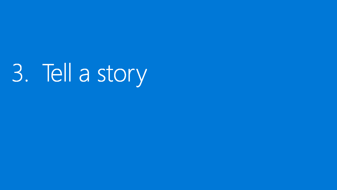# 3. Tell a story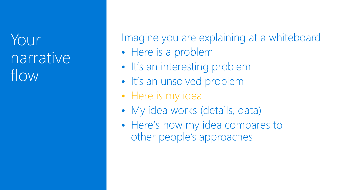#### Your narrative flow

Imagine you are explaining at a whiteboard

- Here is a problem
- It's an interesting problem
- It's an unsolved problem
- Here is my idea
- My idea works (details, data)
- Here's how my idea compares to other people's approaches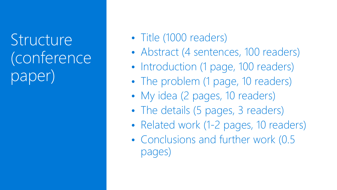### Structure (conference paper)

#### • Title (1000 readers)

- Abstract (4 sentences, 100 readers)
- Introduction (1 page, 100 readers)
- The problem (1 page, 10 readers)
- My idea (2 pages, 10 readers)
- The details (5 pages, 3 readers)
- Related work (1-2 pages, 10 readers)
- Conclusions and further work (0.5 pages)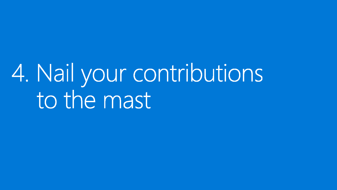## 4. Nail your contributions to the mast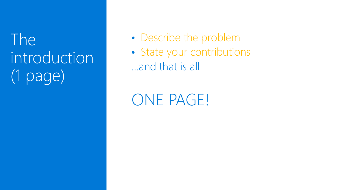## The introduction (1 page)

- Describe the problem
- State your contributions ...and that is all

ONE PAGE!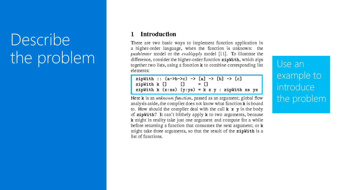# Describe

#### Introduction

There are two basic ways to implement function application in a higher-order language, when the function is unknown: the the push/enter model or the eval/apply model [11]. To illustrate the<br>difference, consider the higher-order function zipWith, which zips<br>together two lists, using a function k to combine corresponding list<br>elements:

| zipWith :: $(a->b->c) -> [a] -> [b] -> [c]$                                                 |  |  |  |  |  |  |
|---------------------------------------------------------------------------------------------|--|--|--|--|--|--|
| zipWith $k$ $\begin{bmatrix} 1 \\ 0 \end{bmatrix}$ = $\begin{bmatrix} 1 \\ 0 \end{bmatrix}$ |  |  |  |  |  |  |
| zipWith $k(x:xs)$ (y:ys) = $k \times y$ : zipWith xs ys                                     |  |  |  |  |  |  |

Here k is an *unknown function*, passed as an argument; global flow analysis aside, the compiler does not know what function k is bound to. How should the compiler deal with the call  $k \times y$  in the body of zipWith? It can't blithely apply k to two arguments, because k might in reality take just one argument and compute for a while before returning a function that consumes the next argument; or  $\bf{k}$ might take three arguments, so that the result of the zipWith is a list of functions.

example to introduce<sup>'</sup> the problem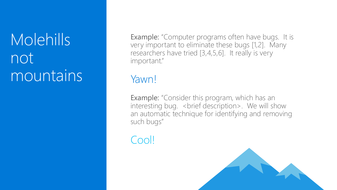### Molehills not mountains

Example: "Computer programs often have bugs. It is very important to eliminate these bugs [1,2]. Many researchers have tried [3,4,5,6]. It really is very important."

#### Yawn!

Example: "Consider this program, which has an interesting bug. < brief description>. We will show an automatic technique for identifying and removing such bugs"

Cool!

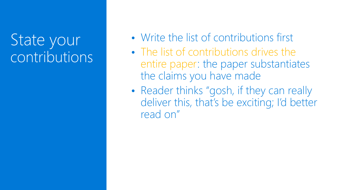#### State your contributions

- Write the list of contributions first
- The list of contributions drives the entire paper: the paper substantiates the claims you have made
- Reader thinks "gosh, if they can really deliver this, that's be exciting; I'd better read on"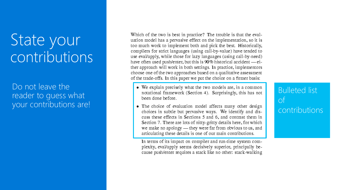#### State your contributions

Do not leave the reader to guess what your contributions are! Which of the two is best in practice? The trouble is that the evaluation model has a pervasive effect on the implementation, so it is too much work to implement both and pick the best. Historically, compilers for strict languages (using call-by-value) have tended to use eval/apply, while those for lazy languages (using call-by-need) have often used push/enter, but this is 90% historical accident - either approach will work in both settings. In practice, implementors choose one of the two approaches based on a qualitative assessment of the trade-offs. In this paper we put the choice on a firmer basis:

- We explain precisely what the two models are, in a common notational framework (Section 4). Surprisingly, this has not been done before.
- The choice of evaluation model affects many other design choices in subtle but pervasive ways. We identify and discuss these effects in Sections 5 and 6, and contrast them in Section 7. There are lots of nitty-gritty details here, for which we make no apology — they were far from obvious to us, and articulating these details is one of our main contributions.

In terms of its impact on compiler and run-time system complexity, eval/apply seems decisively superior, principally because push/enter requires a stack like no other: stack-walking

#### Bulleted list of contributions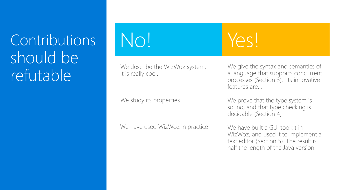### **Contributions** should be refutable

We describe the WizWoz system. It is really cool.

We study its properties

We have used WizWoz in practice

### No! Yes!

We give the syntax and semantics of a language that supports concurrent processes (Section 3). Its innovative features are...

We prove that the type system is sound, and that type checking is decidable (Section 4)

We have built a GUI toolkit in WizWoz, and used it to implement a text editor (Section 5). The result is half the length of the Java version.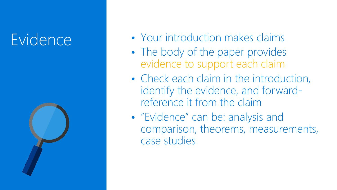## Evidence



- Your introduction makes claims
- The body of the paper provides evidence to support each claim
- Check each claim in the introduction, identify the evidence, and forwardreference it from the claim
- "Evidence" can be: analysis and comparison, theorems, measurements, case studies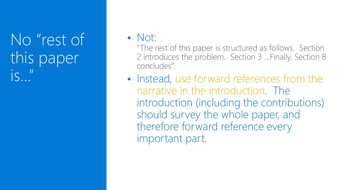## No "rest of this paper is..."

#### • Not:

"The rest of this paper is structured as follows. Section 2 introduces the problem. Section 3 ...Finally, Section 8 concludes".

• Instead, use forward references from the narrative in the introduction. The introduction (including the contributions) should survey the whole paper, and therefore forward reference every important part.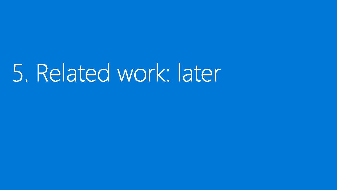## 5. Related work: later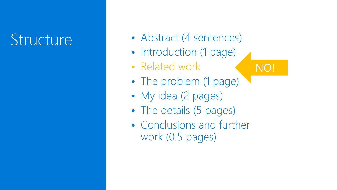#### Structure

- Abstract (4 sentences)
- Introduction (1 page)
- Related work
- The problem (1 page)

NO!

- My idea (2 pages)
- The details (5 pages)
- Conclusions and further work (0.5 pages)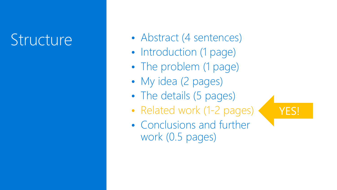#### Structure

- Abstract (4 sentences)
- Introduction (1 page)
- The problem (1 page)
- My idea (2 pages)
- The details (5 pages)
- Related work (1-2 pages)
- Conclusions and further work (0.5 pages)

YES!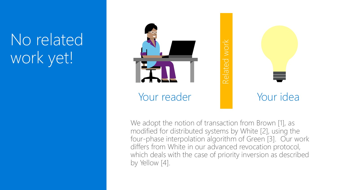## No related work yet!



We adopt the notion of transaction from Brown [1], as modified for distributed systems by White [2], using the four-phase interpolation algorithm of Green [3]. Our work differs from White in our advanced revocation protocol, which deals with the case of priority inversion as described by Yellow [4].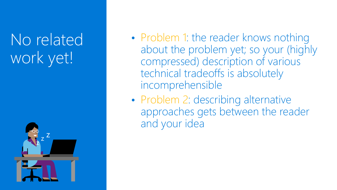## No related work yet!



- Problem 1: the reader knows nothing about the problem yet; so your (highly compressed) description of various technical tradeoffs is absolutely incomprehensible
- Problem 2: describing alternative approaches gets between the reader and your idea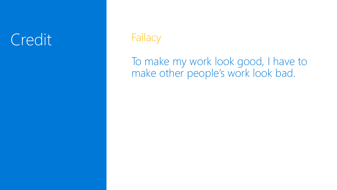#### Credit Fallacy

To make my work look good, I have to make other people's work look bad.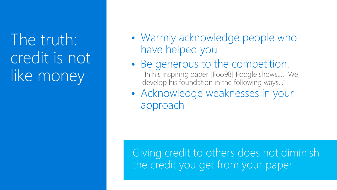# The truth: credit is not

- Warmly acknowledge people who have helped you
- Be generous to the competition. like money "In his inspiring paper [Foo98] Foogle shows.... We develop his foundation in the following ways..."
	- Acknowledge weaknesses in your approach

Giving credit to others does not diminish the credit you get from your paper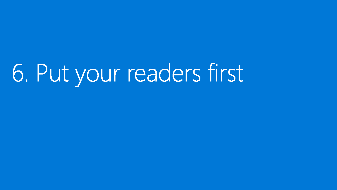## 6. Put your readers first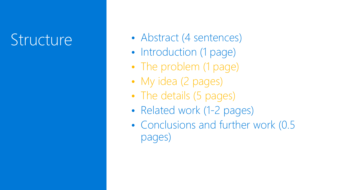#### Structure

- Abstract (4 sentences)
- Introduction (1 page)
- The problem (1 page)
- My idea (2 pages)
- The details (5 pages)
- Related work (1-2 pages)
- Conclusions and further work (0.5) pages)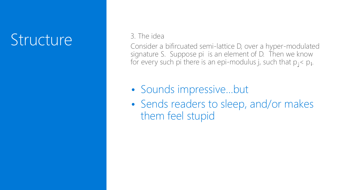#### Structure

3. The idea

Consider a bifircuated semi-lattice D, over a hyper-modulated signature S. Suppose pi is an element of D. Then we know for every such pi there is an epi-modulus j, such that  $p_i < p_i$ .

- Sounds impressive...but
- Sends readers to sleep, and/or makes them feel stupid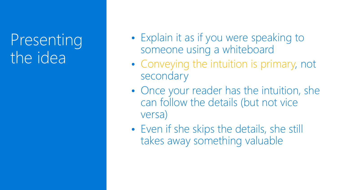#### Presenting the ideal

- Explain it as if you were speaking to someone using a whiteboard
- Conveying the intuition is primary, not secondary
- Once your reader has the intuition, she can follow the details (but not vice versa)
- Even if she skips the details, she still takes away something valuable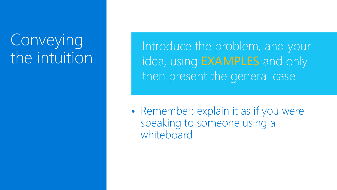#### **Conveying** the intuition

Introduce the problem, and your idea, using EXAMPLES and only then present the general case

• Remember: explain it as if you were speaking to someone using a whiteboard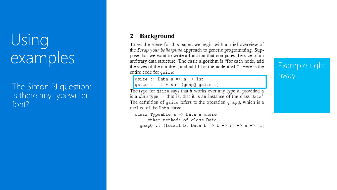# Using

The Simon PJ question: is there any typewriter font?

#### **Background**

To set the scene for this paper, we begin with a brief overview of example that we want to write a function that computes the size of an<br>the sizes of the children, and add 1 for the node itself". Here is the<br>Example right

```
qsize :: Data a \Rightarrow a \Rightarrow Int
gsize t = 1 + sum (gmapQ gsize t)
```
The type for gsize says that it works over any type a, provided a is a *data* type — that is, that it is an instance of the class  $Data<sup>1</sup>$ The definition of  $qsize$  refers to the operation  $qmapQ$ , which is a method of the Data class:

```
class Typeable a \Rightarrow Data a where
  ... other methods of class Data...
  gmapQ :: (forall b. Data b => b -> r) -> a -> [r]
```
## away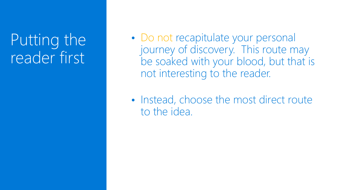#### Putting the reader first

- Do not recapitulate your personal journey of discovery. This route may be soaked with your blood, but that is not interesting to the reader.
- Instead, choose the most direct route to the idea.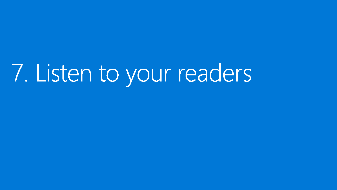## 7. Listen to your readers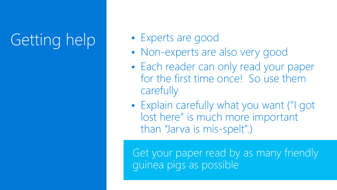## Getting help

- Experts are good
- Non-experts are also very good
- Each reader can only read your paper for the first time once! So use them carefully
- Explain carefully what you want ("I got lost here" is much more important than "Jarva is mis-spelt".)

Get your paper read by as many friendly guinea pigs as possible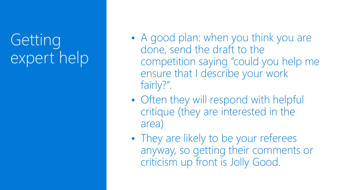### Getting expert help

- A good plan: when you think you are done, send the draft to the competition saying "could you help me ensure that I describe your work fairly?".
- Often they will respond with helpful critique (they are interested in the area)
- They are likely to be your referees anyway, so getting their comments or criticism up front is Jolly Good.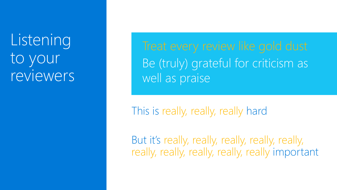#### Listening to your reviewers

Be (truly) grateful for criticism as well as praise

This is really, really, really hard

But it's really, really, really, really, really, really, really, really, really, really important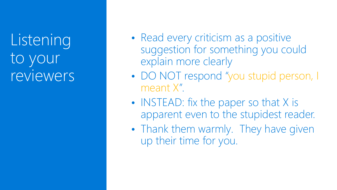#### Listening to your reviewers

- Read every criticism as a positive suggestion for something you could explain more clearly
- DO NOT respond "you stupid person, I meant X".
- INSTEAD: fix the paper so that X is apparent even to the stupidest reader.
- Thank them warmly. They have given up their time for you.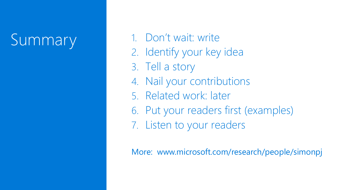- Summary 1. Don't wait: write
	- 2. Identify your key idea
	- 3. Tell a story
	- 4. Nail your contributions
	- 5. Related work: later
	- 6. Put your readers first (examples)
	- 7. Listen to your readers

#### More: www.microsoft.com/research/people/simonpj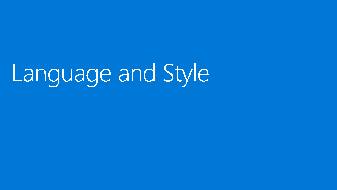# Language and Style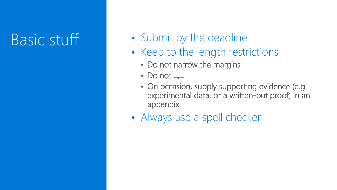- Basic stuff Submit by the deadline
	- Keep to the length restrictions
		- Do not narrow the margins
		- Do not use 6ot font
		- On occasion, supply supporting evidence (e.g. experimental data, or a written-out proof) in an appendix
	- Always use a spell checker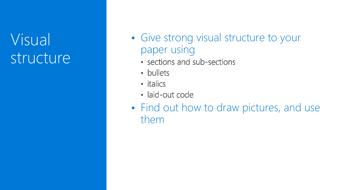### Visual structure

- Give strong visual structure to your paper using
	- sections and sub-sections
	- bullets
	- · italics
	- · laid-out code
- Find out how to draw pictures, and use them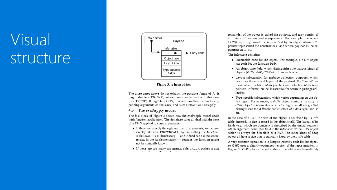### Visual structure



#### Figure 3. A heap object

The three cases above do not exhaust the possible forms of  $f$ . It might also be a THUNK, but we have already dealt with that case (rule THUNK). It might be a CON, in which case there cannot be any pending arguments on the stack, and rules UPDATE or RET apply.

#### The eval/apply model 4.3

The last block of Figure 2 shows how the eval/apply model deals with function application. The first three rules all deal with the case of a  $FUN$  applied to some arguments:

- If there are exactly the right number of arguments, we behave exactly like rule KNOWNCALL, by tail-calling the function. Rule EXACT is still necessary - and indeed has a direct counterpart in the implementation - because the function might not be statically known.
- If there are too many arguments, rule CALLK pushes a call ia i a fi ¥ mani

remainder of the object is called the *payload*, and may consist of a mixture of pointers and non-pointers. For example, the object  $CON(C, a_1... a_n)$  would be represented by an object whose info pointer represented the constructor  $C$  and whose payload is the arguinents  $a_1 \ldots a_n$ .

The info table contains:

- Executable code for the object. For example, a  $FUN$  object has code for the function body.
- An object-type field, which distinguishes the various kinds of objects (FUN, PAP, CON etc) from each other.
- Layout information for garbage collection purposes, which describes the size and layout of the payload. By "layout" we mean which fields contain pointers and which contain nonpointers, information that is essential for accurate garbage collection.
- Type-specific information, which varies depending on the object type. For example, a FUN object contains its arity; a CON object contains its constructor tag, a small integer that distinguishes the different constructors of a data type; and so on.

In the case of a PAP, the size of the object is not fixed by its info table; instead, its size is stored in the object itself. The layout of its fields (e.g. which are pointers) is described by the (initial segment of) an argument-descriptor field in the info table of the FUN object which is always the first field of a PAP. The other kinds of heap object all have a size that is statically fixed by their info table.

A very common operation is to jump to the entry code for the object, so GHC uses a slightly-optimised version of the representation in Figure 3. GHC places the info table at the addresses immediately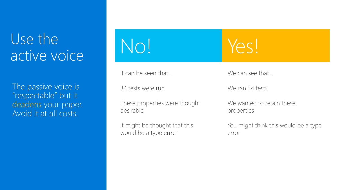#### Use the use uie<br>active voice Mo! Yes!

The passive voice is "respectable" but it deadens your paper. Avoid it at all costs.

It can be seen that...

34 tests were run

These properties were thought desirable

It might be thought that this would be a type error



We can see that...

We ran 34 tests

We wanted to retain these properties

You might think this would be a type error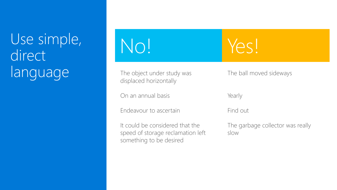#### Use simple, direct language



The object under study was displaced horizontally

On an annual basis

Endeavour to ascertain

It could be considered that the speed of storage reclamation left something to be desired



The ball moved sideways

Yearly

Find out

The garbage collector was really slow